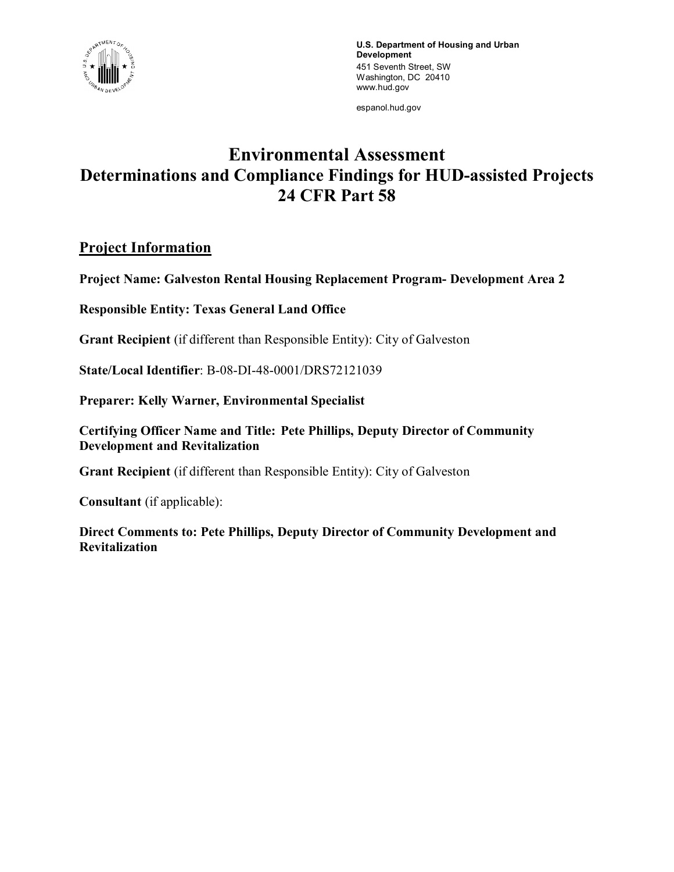

**U.S. Department of Housing and Urban Development** 451 Seventh Street, SW Washington, DC 20410 www.hud.gov

espanol.hud.gov

# **Environmental Assessment Determinations and Compliance Findings for HUD-assisted Projects 24 CFR Part 58**

## **Project Information**

**Project Name: Galveston Rental Housing Replacement Program- Development Area 2**

**Responsible Entity: Texas General Land Office**

**Grant Recipient** (if different than Responsible Entity): City of Galveston

**State/Local Identifier**: B-08-DI-48-0001/DRS72121039

**Preparer: Kelly Warner, Environmental Specialist**

**Certifying Officer Name and Title: Pete Phillips, Deputy Director of Community Development and Revitalization**

**Grant Recipient** (if different than Responsible Entity): City of Galveston

**Consultant** (if applicable):

**Direct Comments to: Pete Phillips, Deputy Director of Community Development and Revitalization**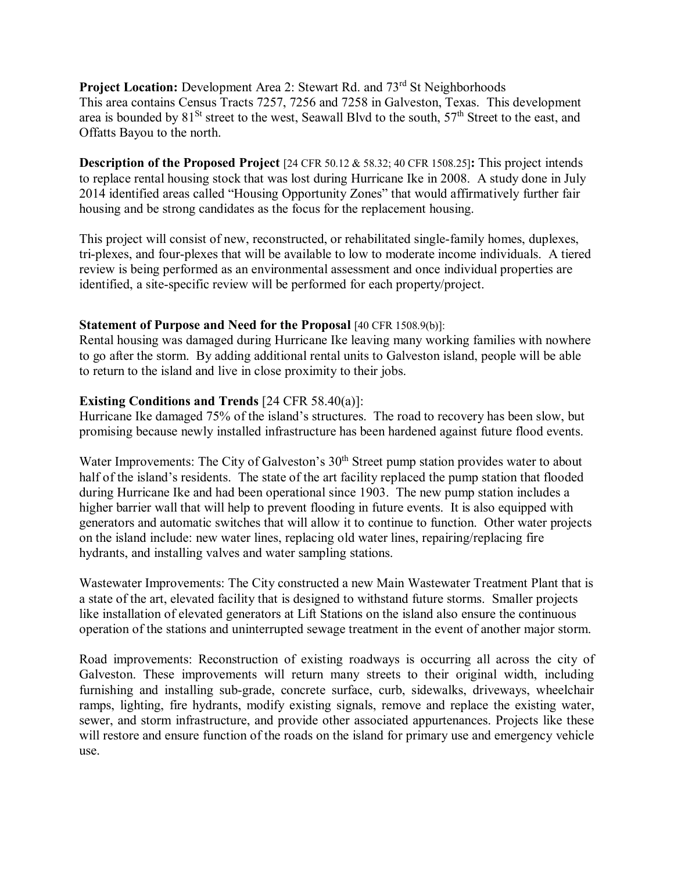**Project Location:** Development Area 2: Stewart Rd. and 73<sup>rd</sup> St Neighborhoods This area contains Census Tracts 7257, 7256 and 7258 in Galveston, Texas. This development area is bounded by 81<sup>St</sup> street to the west, Seawall Blvd to the south, 57<sup>th</sup> Street to the east, and Offatts Bayou to the north.

**Description of the Proposed Project** [24 CFR 50.12 & 58.32; 40 CFR 1508.25]**:** This project intends to replace rental housing stock that was lost during Hurricane Ike in 2008. A study done in July 2014 identified areas called "Housing Opportunity Zones" that would affirmatively further fair housing and be strong candidates as the focus for the replacement housing.

This project will consist of new, reconstructed, or rehabilitated single-family homes, duplexes, tri-plexes, and four-plexes that will be available to low to moderate income individuals. A tiered review is being performed as an environmental assessment and once individual properties are identified, a site-specific review will be performed for each property/project.

#### **Statement of Purpose and Need for the Proposal** [40 CFR 1508.9(b)]:

Rental housing was damaged during Hurricane Ike leaving many working families with nowhere to go after the storm. By adding additional rental units to Galveston island, people will be able to return to the island and live in close proximity to their jobs.

#### **Existing Conditions and Trends** [24 CFR 58.40(a)]:

Hurricane Ike damaged 75% of the island's structures. The road to recovery has been slow, but promising because newly installed infrastructure has been hardened against future flood events.

Water Improvements: The City of Galveston's 30<sup>th</sup> Street pump station provides water to about half of the island's residents. The state of the art facility replaced the pump station that flooded during Hurricane Ike and had been operational since 1903. The new pump station includes a higher barrier wall that will help to prevent flooding in future events. It is also equipped with generators and automatic switches that will allow it to continue to function. Other water projects on the island include: new water lines, replacing old water lines, repairing/replacing fire hydrants, and installing valves and water sampling stations.

Wastewater Improvements: The City constructed a new Main Wastewater Treatment Plant that is a state of the art, elevated facility that is designed to withstand future storms. Smaller projects like installation of elevated generators at Lift Stations on the island also ensure the continuous operation of the stations and uninterrupted sewage treatment in the event of another major storm.

Road improvements: Reconstruction of existing roadways is occurring all across the city of Galveston. These improvements will return many streets to their original width, including furnishing and installing sub-grade, concrete surface, curb, sidewalks, driveways, wheelchair ramps, lighting, fire hydrants, modify existing signals, remove and replace the existing water, sewer, and storm infrastructure, and provide other associated appurtenances. Projects like these will restore and ensure function of the roads on the island for primary use and emergency vehicle use.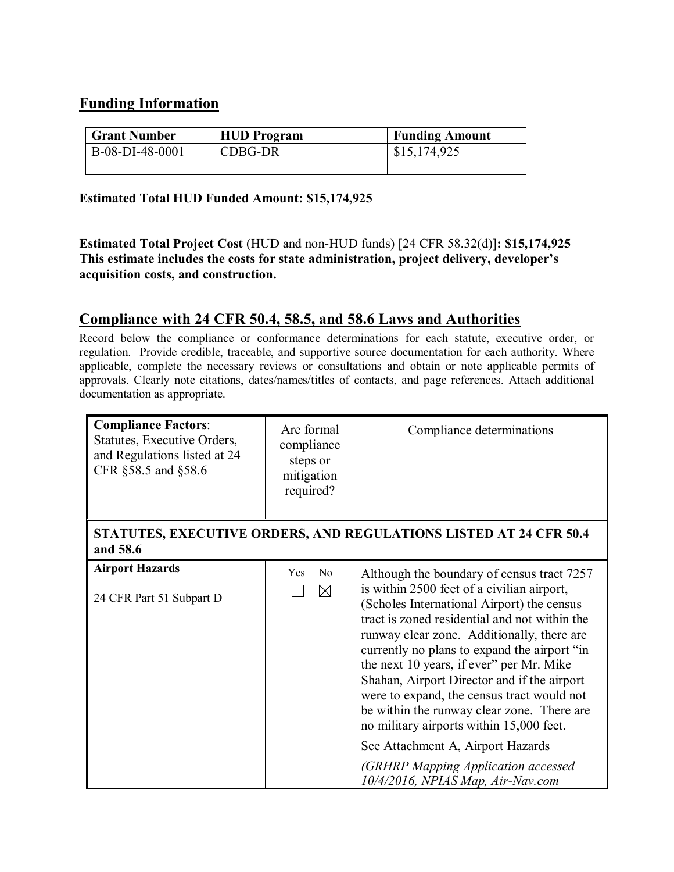## **Funding Information**

| <b>Grant Number</b> | <b>HUD</b> Program | <b>Funding Amount</b> |
|---------------------|--------------------|-----------------------|
| B-08-DI-48-0001     | CDBG-DR            | \$15,174,925          |
|                     |                    |                       |

#### **Estimated Total HUD Funded Amount: \$15,174,925**

**Estimated Total Project Cost** (HUD and non-HUD funds) [24 CFR 58.32(d)]**: \$15,174,925 This estimate includes the costs for state administration, project delivery, developer's acquisition costs, and construction.**

## **Compliance with 24 CFR 50.4, 58.5, and 58.6 Laws and Authorities**

Record below the compliance or conformance determinations for each statute, executive order, or regulation. Provide credible, traceable, and supportive source documentation for each authority. Where applicable, complete the necessary reviews or consultations and obtain or note applicable permits of approvals. Clearly note citations, dates/names/titles of contacts, and page references. Attach additional documentation as appropriate.

| <b>Compliance Factors:</b><br>Statutes, Executive Orders,<br>and Regulations listed at 24<br>CFR §58.5 and §58.6 | Are formal<br>compliance<br>steps or<br>mitigation<br>required? | Compliance determinations                                                                                                                                                                                                                                                                                                                                                                                                                                                                                                                                                                                                                 |
|------------------------------------------------------------------------------------------------------------------|-----------------------------------------------------------------|-------------------------------------------------------------------------------------------------------------------------------------------------------------------------------------------------------------------------------------------------------------------------------------------------------------------------------------------------------------------------------------------------------------------------------------------------------------------------------------------------------------------------------------------------------------------------------------------------------------------------------------------|
| and 58.6                                                                                                         |                                                                 | STATUTES, EXECUTIVE ORDERS, AND REGULATIONS LISTED AT 24 CFR 50.4                                                                                                                                                                                                                                                                                                                                                                                                                                                                                                                                                                         |
| <b>Airport Hazards</b><br>24 CFR Part 51 Subpart D                                                               | N <sub>0</sub><br><b>Yes</b><br>$\boxtimes$                     | Although the boundary of census tract 7257<br>is within 2500 feet of a civilian airport,<br>(Scholes International Airport) the census<br>tract is zoned residential and not within the<br>runway clear zone. Additionally, there are<br>currently no plans to expand the airport "in<br>the next 10 years, if ever" per Mr. Mike<br>Shahan, Airport Director and if the airport<br>were to expand, the census tract would not<br>be within the runway clear zone. There are<br>no military airports within 15,000 feet.<br>See Attachment A, Airport Hazards<br>(GRHRP Mapping Application accessed<br>10/4/2016, NPIAS Map, Air-Nav.com |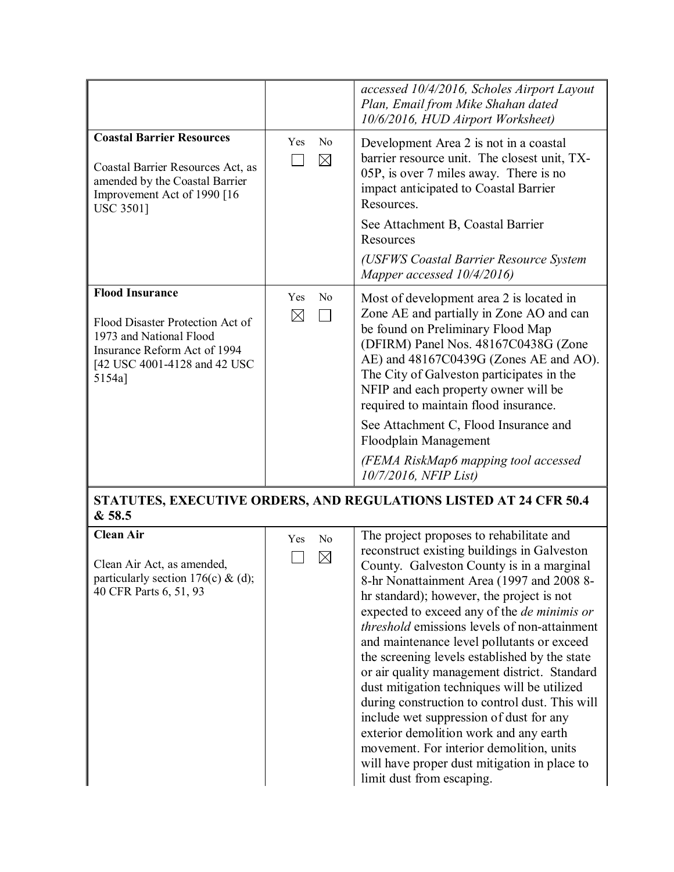|                                                                                                                                                                 |                    |                               | accessed 10/4/2016, Scholes Airport Layout<br>Plan, Email from Mike Shahan dated<br>10/6/2016, HUD Airport Worksheet)                                                                                                                                                                                                                                                                                                                                                                                                                                                                                                                                                                                                                                                                                     |
|-----------------------------------------------------------------------------------------------------------------------------------------------------------------|--------------------|-------------------------------|-----------------------------------------------------------------------------------------------------------------------------------------------------------------------------------------------------------------------------------------------------------------------------------------------------------------------------------------------------------------------------------------------------------------------------------------------------------------------------------------------------------------------------------------------------------------------------------------------------------------------------------------------------------------------------------------------------------------------------------------------------------------------------------------------------------|
| <b>Coastal Barrier Resources</b><br>Coastal Barrier Resources Act, as<br>amended by the Coastal Barrier<br>Improvement Act of 1990 [16<br><b>USC 3501]</b>      | Yes                | N <sub>o</sub><br>$\boxtimes$ | Development Area 2 is not in a coastal<br>barrier resource unit. The closest unit, TX-<br>05P, is over 7 miles away. There is no<br>impact anticipated to Coastal Barrier<br>Resources.<br>See Attachment B, Coastal Barrier<br>Resources                                                                                                                                                                                                                                                                                                                                                                                                                                                                                                                                                                 |
|                                                                                                                                                                 |                    |                               | (USFWS Coastal Barrier Resource System<br>Mapper accessed 10/4/2016)                                                                                                                                                                                                                                                                                                                                                                                                                                                                                                                                                                                                                                                                                                                                      |
| <b>Flood Insurance</b><br>Flood Disaster Protection Act of<br>1973 and National Flood<br>Insurance Reform Act of 1994<br>[42 USC 4001-4128 and 42 USC<br>5154a] | Yes<br>$\boxtimes$ | No<br>$\mathbf{I}$            | Most of development area 2 is located in<br>Zone AE and partially in Zone AO and can<br>be found on Preliminary Flood Map<br>(DFIRM) Panel Nos. 48167C0438G (Zone<br>AE) and 48167C0439G (Zones AE and AO).<br>The City of Galveston participates in the<br>NFIP and each property owner will be<br>required to maintain flood insurance.                                                                                                                                                                                                                                                                                                                                                                                                                                                                 |
|                                                                                                                                                                 |                    |                               | See Attachment C, Flood Insurance and<br>Floodplain Management                                                                                                                                                                                                                                                                                                                                                                                                                                                                                                                                                                                                                                                                                                                                            |
|                                                                                                                                                                 |                    |                               | (FEMA RiskMap6 mapping tool accessed<br>10/7/2016, NFIP List)                                                                                                                                                                                                                                                                                                                                                                                                                                                                                                                                                                                                                                                                                                                                             |
| & 58.5                                                                                                                                                          |                    |                               | STATUTES, EXECUTIVE ORDERS, AND REGULATIONS LISTED AT 24 CFR 50.4                                                                                                                                                                                                                                                                                                                                                                                                                                                                                                                                                                                                                                                                                                                                         |
| <b>Clean Air</b><br>Clean Air Act, as amended,<br>particularly section 176(c) & (d);<br>40 CFR Parts 6, 51, 93                                                  | Yes                | N <sub>o</sub><br>$\boxtimes$ | The project proposes to rehabilitate and<br>reconstruct existing buildings in Galveston<br>County. Galveston County is in a marginal<br>8-hr Nonattainment Area (1997 and 2008 8-<br>hr standard); however, the project is not<br>expected to exceed any of the <i>de minimis or</i><br><i>threshold</i> emissions levels of non-attainment<br>and maintenance level pollutants or exceed<br>the screening levels established by the state<br>or air quality management district. Standard<br>dust mitigation techniques will be utilized<br>during construction to control dust. This will<br>include wet suppression of dust for any<br>exterior demolition work and any earth<br>movement. For interior demolition, units<br>will have proper dust mitigation in place to<br>limit dust from escaping. |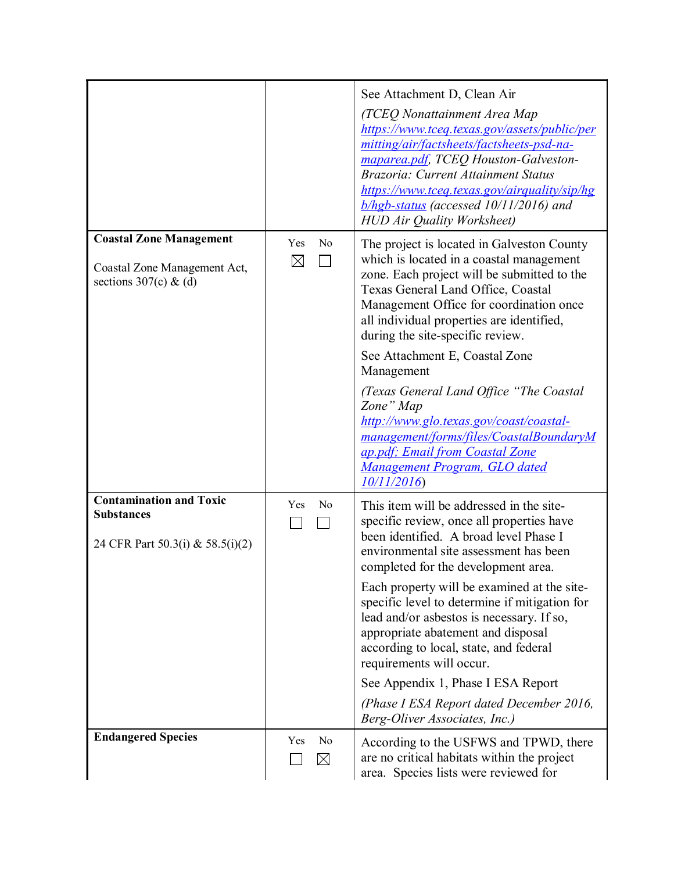|                                                                                           |                          | See Attachment D, Clean Air<br>(TCEQ Nonattainment Area Map<br>https://www.tceq.texas.gov/assets/public/per<br>mitting/air/factsheets/factsheets-psd-na-<br>maparea.pdf, TCEQ Houston-Galveston-<br>Brazoria: Current Attainment Status<br>https://www.tceq.texas.gov/airquality/sip/hg<br>$b/hgb-status$ (accessed 10/11/2016) and<br><b>HUD Air Quality Worksheet)</b>                                                                                                                                                                                                                     |
|-------------------------------------------------------------------------------------------|--------------------------|----------------------------------------------------------------------------------------------------------------------------------------------------------------------------------------------------------------------------------------------------------------------------------------------------------------------------------------------------------------------------------------------------------------------------------------------------------------------------------------------------------------------------------------------------------------------------------------------|
| <b>Coastal Zone Management</b><br>Coastal Zone Management Act,<br>sections $307(c)$ & (d) | No<br>Yes<br>$\boxtimes$ | The project is located in Galveston County<br>which is located in a coastal management<br>zone. Each project will be submitted to the<br>Texas General Land Office, Coastal<br>Management Office for coordination once<br>all individual properties are identified,<br>during the site-specific review.<br>See Attachment E, Coastal Zone<br>Management<br>(Texas General Land Office "The Coastal<br>Zone" Map<br>http://www.glo.texas.gov/coast/coastal-<br>management/forms/files/CoastalBoundaryM<br>ap.pdf; Email from Coastal Zone<br>Management Program, GLO dated<br>10/11/2016      |
| <b>Contamination and Toxic</b><br><b>Substances</b><br>24 CFR Part 50.3(i) & 58.5(i)(2)   | Yes<br>N <sub>o</sub>    | This item will be addressed in the site-<br>specific review, once all properties have<br>been identified. A broad level Phase I<br>environmental site assessment has been<br>completed for the development area.<br>Each property will be examined at the site-<br>specific level to determine if mitigation for<br>lead and/or asbestos is necessary. If so,<br>appropriate abatement and disposal<br>according to local, state, and federal<br>requirements will occur.<br>See Appendix 1, Phase I ESA Report<br>(Phase I ESA Report dated December 2016,<br>Berg-Oliver Associates, Inc.) |
| <b>Endangered Species</b>                                                                 | No<br>Yes<br>$\boxtimes$ | According to the USFWS and TPWD, there<br>are no critical habitats within the project<br>area. Species lists were reviewed for                                                                                                                                                                                                                                                                                                                                                                                                                                                               |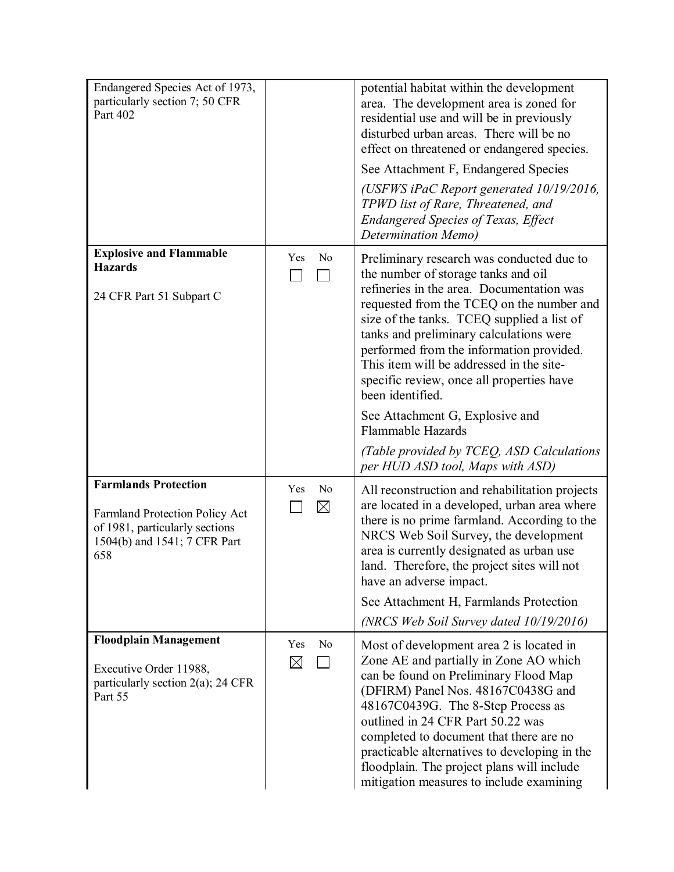| Endangered Species Act of 1973,<br>particularly section 7; 50 CFR<br>Part 402                                                          |                                      | potential habitat within the development<br>area. The development area is zoned for<br>residential use and will be in previously<br>disturbed urban areas. There will be no<br>effect on threatened or endangered species.<br>See Attachment F, Endangered Species                                                                                                                                                                                              |
|----------------------------------------------------------------------------------------------------------------------------------------|--------------------------------------|-----------------------------------------------------------------------------------------------------------------------------------------------------------------------------------------------------------------------------------------------------------------------------------------------------------------------------------------------------------------------------------------------------------------------------------------------------------------|
|                                                                                                                                        |                                      | (USFWS iPaC Report generated 10/19/2016,<br>TPWD list of Rare, Threatened, and<br><b>Endangered Species of Texas, Effect</b><br>Determination Memo)                                                                                                                                                                                                                                                                                                             |
| <b>Explosive and Flammable</b><br><b>Hazards</b><br>24 CFR Part 51 Subpart C                                                           | Yes<br>No                            | Preliminary research was conducted due to<br>the number of storage tanks and oil<br>refineries in the area. Documentation was<br>requested from the TCEQ on the number and<br>size of the tanks. TCEQ supplied a list of<br>tanks and preliminary calculations were<br>performed from the information provided.<br>This item will be addressed in the site-<br>specific review, once all properties have<br>been identified.<br>See Attachment G, Explosive and |
|                                                                                                                                        |                                      | Flammable Hazards<br>(Table provided by TCEQ, ASD Calculations                                                                                                                                                                                                                                                                                                                                                                                                  |
| <b>Farmlands Protection</b><br>Farmland Protection Policy Act<br>of 1981, particularly sections<br>1504(b) and 1541; 7 CFR Part<br>658 | Yes<br>No<br>$\boxtimes$             | per HUD ASD tool, Maps with ASD)<br>All reconstruction and rehabilitation projects<br>are located in a developed, urban area where<br>there is no prime farmland. According to the<br>NRCS Web Soil Survey, the development<br>area is currently designated as urban use<br>land. Therefore, the project sites will not<br>have an adverse impact.<br>See Attachment H, Farmlands Protection<br>(NRCS Web Soil Survey dated 10/19/2016)                         |
| <b>Floodplain Management</b><br>Executive Order 11988,<br>particularly section $2(a)$ ; 24 CFR<br>Part 55                              | Yes<br>N <sub>0</sub><br>$\boxtimes$ | Most of development area 2 is located in<br>Zone AE and partially in Zone AO which<br>can be found on Preliminary Flood Map<br>(DFIRM) Panel Nos. 48167C0438G and<br>48167C0439G. The 8-Step Process as<br>outlined in 24 CFR Part 50.22 was<br>completed to document that there are no<br>practicable alternatives to developing in the<br>floodplain. The project plans will include<br>mitigation measures to include examining                              |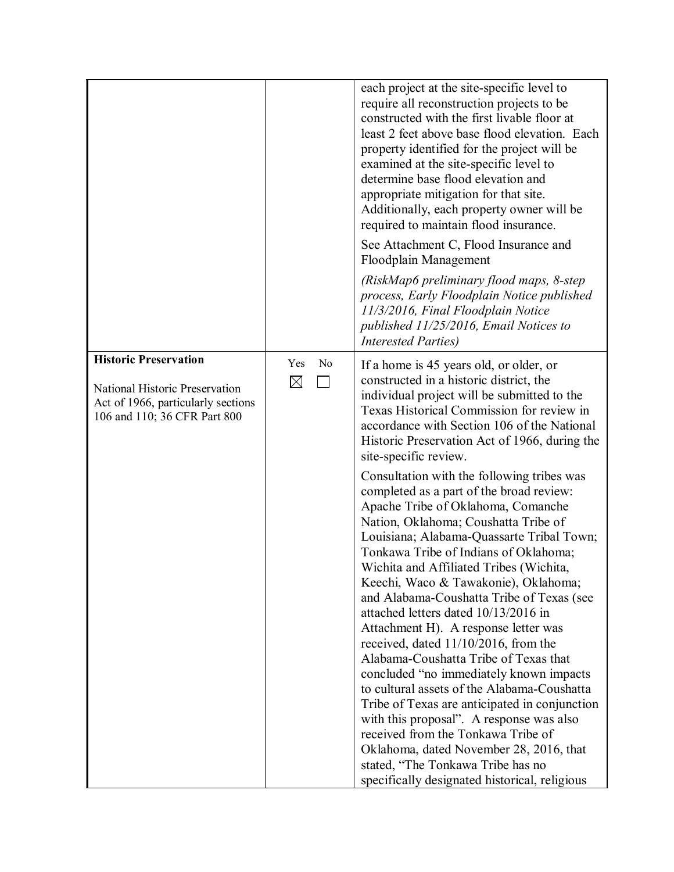|                                                                                                                                      |                                                | each project at the site-specific level to<br>require all reconstruction projects to be<br>constructed with the first livable floor at<br>least 2 feet above base flood elevation. Each<br>property identified for the project will be<br>examined at the site-specific level to<br>determine base flood elevation and<br>appropriate mitigation for that site.<br>Additionally, each property owner will be<br>required to maintain flood insurance.<br>See Attachment C, Flood Insurance and<br>Floodplain Management<br>(RiskMap6 preliminary flood maps, 8-step)<br>process, Early Floodplain Notice published<br>11/3/2016, Final Floodplain Notice<br>published 11/25/2016, Email Notices to<br><b>Interested Parties</b> )                                                                                                                                                                                                                                                                                                                                                                                                                                                                                                    |
|--------------------------------------------------------------------------------------------------------------------------------------|------------------------------------------------|--------------------------------------------------------------------------------------------------------------------------------------------------------------------------------------------------------------------------------------------------------------------------------------------------------------------------------------------------------------------------------------------------------------------------------------------------------------------------------------------------------------------------------------------------------------------------------------------------------------------------------------------------------------------------------------------------------------------------------------------------------------------------------------------------------------------------------------------------------------------------------------------------------------------------------------------------------------------------------------------------------------------------------------------------------------------------------------------------------------------------------------------------------------------------------------------------------------------------------------|
| <b>Historic Preservation</b><br>National Historic Preservation<br>Act of 1966, particularly sections<br>106 and 110; 36 CFR Part 800 | Yes<br>N <sub>o</sub><br>$\boxtimes$<br>$\sim$ | If a home is 45 years old, or older, or<br>constructed in a historic district, the<br>individual project will be submitted to the<br>Texas Historical Commission for review in<br>accordance with Section 106 of the National<br>Historic Preservation Act of 1966, during the<br>site-specific review.<br>Consultation with the following tribes was<br>completed as a part of the broad review:<br>Apache Tribe of Oklahoma, Comanche<br>Nation, Oklahoma; Coushatta Tribe of<br>Louisiana; Alabama-Quassarte Tribal Town;<br>Tonkawa Tribe of Indians of Oklahoma;<br>Wichita and Affiliated Tribes (Wichita,<br>Keechi, Waco & Tawakonie), Oklahoma;<br>and Alabama-Coushatta Tribe of Texas (see<br>attached letters dated 10/13/2016 in<br>Attachment H). A response letter was<br>received, dated 11/10/2016, from the<br>Alabama-Coushatta Tribe of Texas that<br>concluded "no immediately known impacts<br>to cultural assets of the Alabama-Coushatta<br>Tribe of Texas are anticipated in conjunction<br>with this proposal". A response was also<br>received from the Tonkawa Tribe of<br>Oklahoma, dated November 28, 2016, that<br>stated, "The Tonkawa Tribe has no<br>specifically designated historical, religious |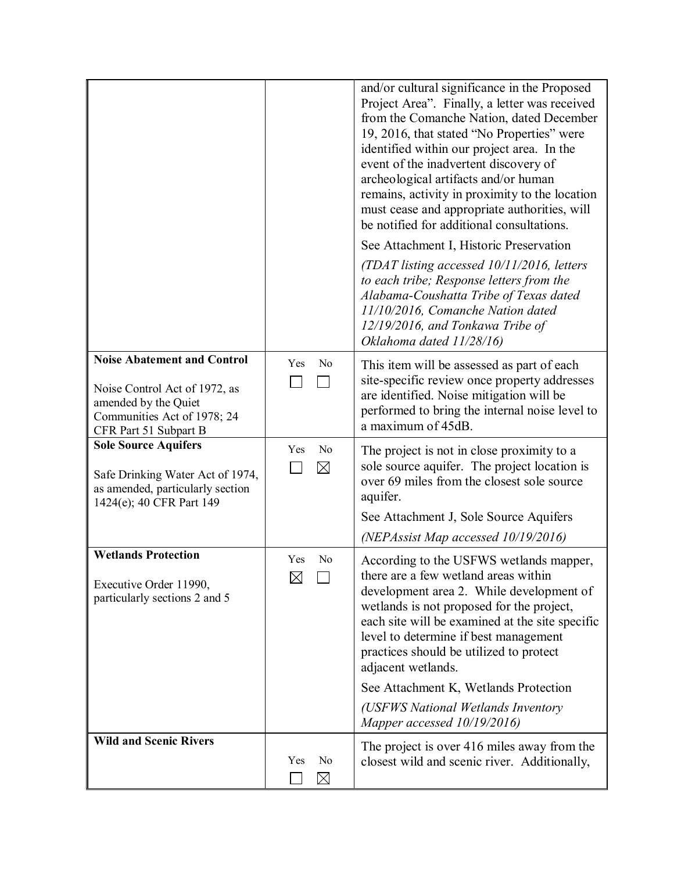|                                                                                                                                                     |                                      | and/or cultural significance in the Proposed<br>Project Area". Finally, a letter was received<br>from the Comanche Nation, dated December<br>19, 2016, that stated "No Properties" were<br>identified within our project area. In the<br>event of the inadvertent discovery of<br>archeological artifacts and/or human<br>remains, activity in proximity to the location<br>must cease and appropriate authorities, will<br>be notified for additional consultations.<br>See Attachment I, Historic Preservation<br>(TDAT listing accessed 10/11/2016, letters<br>to each tribe; Response letters from the<br>Alabama-Coushatta Tribe of Texas dated<br>11/10/2016, Comanche Nation dated<br>12/19/2016, and Tonkawa Tribe of<br>Oklahoma dated 11/28/16) |
|-----------------------------------------------------------------------------------------------------------------------------------------------------|--------------------------------------|-----------------------------------------------------------------------------------------------------------------------------------------------------------------------------------------------------------------------------------------------------------------------------------------------------------------------------------------------------------------------------------------------------------------------------------------------------------------------------------------------------------------------------------------------------------------------------------------------------------------------------------------------------------------------------------------------------------------------------------------------------------|
| <b>Noise Abatement and Control</b><br>Noise Control Act of 1972, as<br>amended by the Quiet<br>Communities Act of 1978; 24<br>CFR Part 51 Subpart B | Yes<br>N <sub>o</sub>                | This item will be assessed as part of each<br>site-specific review once property addresses<br>are identified. Noise mitigation will be<br>performed to bring the internal noise level to<br>a maximum of 45dB.                                                                                                                                                                                                                                                                                                                                                                                                                                                                                                                                            |
| <b>Sole Source Aquifers</b><br>Safe Drinking Water Act of 1974,<br>as amended, particularly section<br>1424(e); 40 CFR Part 149                     | N <sub>o</sub><br>Yes<br>$\boxtimes$ | The project is not in close proximity to a<br>sole source aquifer. The project location is<br>over 69 miles from the closest sole source<br>aquifer.<br>See Attachment J, Sole Source Aquifers                                                                                                                                                                                                                                                                                                                                                                                                                                                                                                                                                            |
| <b>Wetlands Protection</b>                                                                                                                          | Yes<br>N <sub>0</sub>                | (NEPAssist Map accessed 10/19/2016)<br>According to the USFWS wetlands mapper,                                                                                                                                                                                                                                                                                                                                                                                                                                                                                                                                                                                                                                                                            |
| Executive Order 11990,<br>particularly sections 2 and 5                                                                                             | $\boxtimes$                          | there are a few wetland areas within<br>development area 2. While development of<br>wetlands is not proposed for the project,<br>each site will be examined at the site specific<br>level to determine if best management<br>practices should be utilized to protect<br>adjacent wetlands.                                                                                                                                                                                                                                                                                                                                                                                                                                                                |
|                                                                                                                                                     |                                      | See Attachment K, Wetlands Protection                                                                                                                                                                                                                                                                                                                                                                                                                                                                                                                                                                                                                                                                                                                     |
|                                                                                                                                                     |                                      | (USFWS National Wetlands Inventory<br>Mapper accessed 10/19/2016)                                                                                                                                                                                                                                                                                                                                                                                                                                                                                                                                                                                                                                                                                         |
| <b>Wild and Scenic Rivers</b>                                                                                                                       | No<br>Yes<br>$\boxtimes$             | The project is over 416 miles away from the<br>closest wild and scenic river. Additionally,                                                                                                                                                                                                                                                                                                                                                                                                                                                                                                                                                                                                                                                               |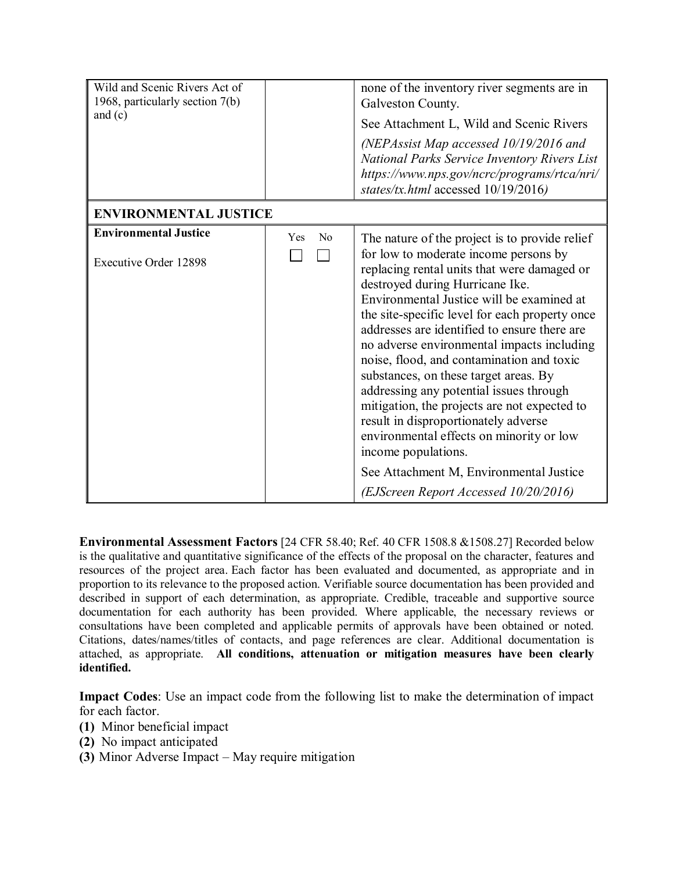| Wild and Scenic Rivers Act of<br>1968, particularly section 7(b)<br>and $(c)$ |                       | none of the inventory river segments are in<br>Galveston County.<br>See Attachment L, Wild and Scenic Rivers<br>(NEPAssist Map accessed $10/19/2016$ and<br>National Parks Service Inventory Rivers List<br>https://www.nps.gov/ncrc/programs/rtca/nri/<br>states/tx.html accessed 10/19/2016)                                                                                                                                                                                                                                                                                                                                                                                                                |
|-------------------------------------------------------------------------------|-----------------------|---------------------------------------------------------------------------------------------------------------------------------------------------------------------------------------------------------------------------------------------------------------------------------------------------------------------------------------------------------------------------------------------------------------------------------------------------------------------------------------------------------------------------------------------------------------------------------------------------------------------------------------------------------------------------------------------------------------|
| <b>ENVIRONMENTAL JUSTICE</b>                                                  |                       |                                                                                                                                                                                                                                                                                                                                                                                                                                                                                                                                                                                                                                                                                                               |
| <b>Environmental Justice</b><br><b>Executive Order 12898</b>                  | N <sub>0</sub><br>Yes | The nature of the project is to provide relief<br>for low to moderate income persons by<br>replacing rental units that were damaged or<br>destroyed during Hurricane Ike.<br>Environmental Justice will be examined at<br>the site-specific level for each property once<br>addresses are identified to ensure there are<br>no adverse environmental impacts including<br>noise, flood, and contamination and toxic<br>substances, on these target areas. By<br>addressing any potential issues through<br>mitigation, the projects are not expected to<br>result in disproportionately adverse<br>environmental effects on minority or low<br>income populations.<br>See Attachment M, Environmental Justice |
|                                                                               |                       | (EJScreen Report Accessed 10/20/2016)                                                                                                                                                                                                                                                                                                                                                                                                                                                                                                                                                                                                                                                                         |

**Environmental Assessment Factors** [24 CFR 58.40; Ref. 40 CFR 1508.8 &1508.27] Recorded below is the qualitative and quantitative significance of the effects of the proposal on the character, features and resources of the project area. Each factor has been evaluated and documented, as appropriate and in proportion to its relevance to the proposed action. Verifiable source documentation has been provided and described in support of each determination, as appropriate. Credible, traceable and supportive source documentation for each authority has been provided. Where applicable, the necessary reviews or consultations have been completed and applicable permits of approvals have been obtained or noted. Citations, dates/names/titles of contacts, and page references are clear. Additional documentation is attached, as appropriate. **All conditions, attenuation or mitigation measures have been clearly identified.**

**Impact Codes**: Use an impact code from the following list to make the determination of impact for each factor.

- **(1)** Minor beneficial impact
- **(2)** No impact anticipated
- **(3)** Minor Adverse Impact May require mitigation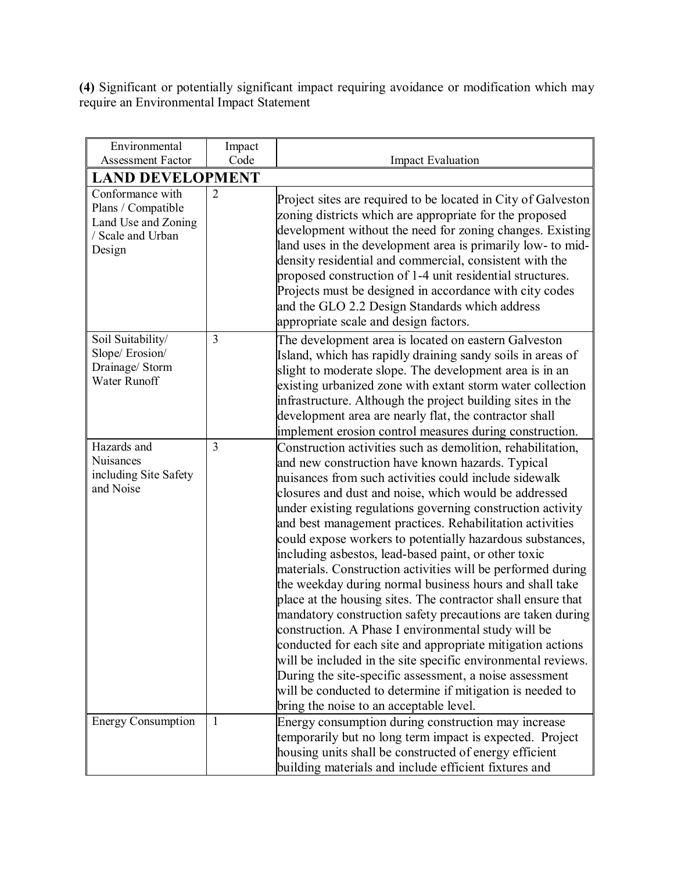**(4)** Significant or potentially significant impact requiring avoidance or modification which may require an Environmental Impact Statement

| Environmental                                                                                | Impact                  |                                                                                                                                                                                                                                                                                                                                                                                                                                                                                                                                                                                                                                                                                                                                                                                                                                                                                                                                                                                                                                                                                                  |  |  |  |
|----------------------------------------------------------------------------------------------|-------------------------|--------------------------------------------------------------------------------------------------------------------------------------------------------------------------------------------------------------------------------------------------------------------------------------------------------------------------------------------------------------------------------------------------------------------------------------------------------------------------------------------------------------------------------------------------------------------------------------------------------------------------------------------------------------------------------------------------------------------------------------------------------------------------------------------------------------------------------------------------------------------------------------------------------------------------------------------------------------------------------------------------------------------------------------------------------------------------------------------------|--|--|--|
| <b>Assessment Factor</b>                                                                     | Code                    | <b>Impact Evaluation</b>                                                                                                                                                                                                                                                                                                                                                                                                                                                                                                                                                                                                                                                                                                                                                                                                                                                                                                                                                                                                                                                                         |  |  |  |
|                                                                                              | <b>LAND DEVELOPMENT</b> |                                                                                                                                                                                                                                                                                                                                                                                                                                                                                                                                                                                                                                                                                                                                                                                                                                                                                                                                                                                                                                                                                                  |  |  |  |
| Conformance with<br>Plans / Compatible<br>Land Use and Zoning<br>/ Scale and Urban<br>Design | $\overline{2}$          | Project sites are required to be located in City of Galveston<br>zoning districts which are appropriate for the proposed<br>development without the need for zoning changes. Existing<br>land uses in the development area is primarily low- to mid-<br>density residential and commercial, consistent with the<br>proposed construction of 1-4 unit residential structures.<br>Projects must be designed in accordance with city codes<br>and the GLO 2.2 Design Standards which address<br>appropriate scale and design factors.                                                                                                                                                                                                                                                                                                                                                                                                                                                                                                                                                               |  |  |  |
| Soil Suitability/<br>Slope/Erosion/<br>Drainage/ Storm<br><b>Water Runoff</b>                | 3                       | The development area is located on eastern Galveston<br>Island, which has rapidly draining sandy soils in areas of<br>slight to moderate slope. The development area is in an<br>existing urbanized zone with extant storm water collection<br>infrastructure. Although the project building sites in the<br>development area are nearly flat, the contractor shall<br>implement erosion control measures during construction.                                                                                                                                                                                                                                                                                                                                                                                                                                                                                                                                                                                                                                                                   |  |  |  |
| Hazards and<br>Nuisances<br>including Site Safety<br>and Noise                               | $\overline{3}$          | Construction activities such as demolition, rehabilitation,<br>and new construction have known hazards. Typical<br>nuisances from such activities could include sidewalk<br>closures and dust and noise, which would be addressed<br>under existing regulations governing construction activity<br>and best management practices. Rehabilitation activities<br>could expose workers to potentially hazardous substances,<br>including asbestos, lead-based paint, or other toxic<br>materials. Construction activities will be performed during<br>the weekday during normal business hours and shall take<br>place at the housing sites. The contractor shall ensure that<br>mandatory construction safety precautions are taken during<br>construction. A Phase I environmental study will be<br>conducted for each site and appropriate mitigation actions<br>will be included in the site specific environmental reviews.<br>During the site-specific assessment, a noise assessment<br>will be conducted to determine if mitigation is needed to<br>bring the noise to an acceptable level. |  |  |  |
| <b>Energy Consumption</b>                                                                    | 1                       | Energy consumption during construction may increase<br>temporarily but no long term impact is expected. Project<br>housing units shall be constructed of energy efficient<br>building materials and include efficient fixtures and                                                                                                                                                                                                                                                                                                                                                                                                                                                                                                                                                                                                                                                                                                                                                                                                                                                               |  |  |  |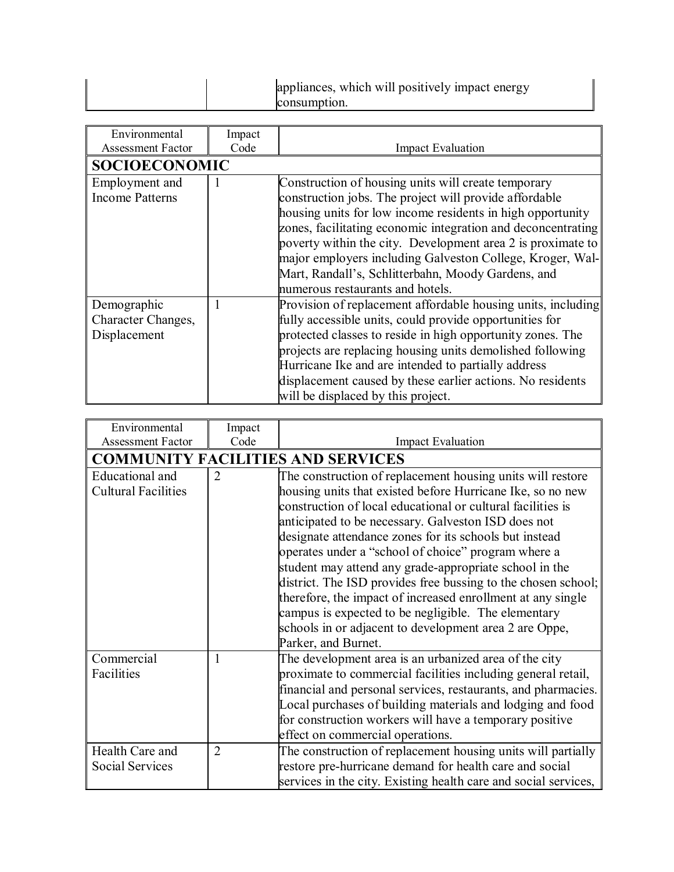| appliances, which will positively impact energy<br>consumption. |
|-----------------------------------------------------------------|
|-----------------------------------------------------------------|

| Environmental            | Impact |                                                              |
|--------------------------|--------|--------------------------------------------------------------|
| <b>Assessment Factor</b> | Code   | <b>Impact Evaluation</b>                                     |
| <b>SOCIOECONOMIC</b>     |        |                                                              |
| Employment and           |        | Construction of housing units will create temporary          |
| <b>Income Patterns</b>   |        | construction jobs. The project will provide affordable       |
|                          |        | housing units for low income residents in high opportunity   |
|                          |        | zones, facilitating economic integration and deconcentrating |
|                          |        | poverty within the city. Development area 2 is proximate to  |
|                          |        | major employers including Galveston College, Kroger, Wal-    |
|                          |        | Mart, Randall's, Schlitterbahn, Moody Gardens, and           |
|                          |        | numerous restaurants and hotels.                             |
| Demographic              |        | Provision of replacement affordable housing units, including |
| Character Changes,       |        | fully accessible units, could provide opportunities for      |
| Displacement             |        | protected classes to reside in high opportunity zones. The   |
|                          |        | projects are replacing housing units demolished following    |
|                          |        | Hurricane Ike and are intended to partially address          |
|                          |        | displacement caused by these earlier actions. No residents   |
|                          |        | will be displaced by this project.                           |

| Environmental                                        | Impact              |                                                                                                                                                                                                                                                                                                                                                                                                                                                                                                                                                                                                                                                                            |
|------------------------------------------------------|---------------------|----------------------------------------------------------------------------------------------------------------------------------------------------------------------------------------------------------------------------------------------------------------------------------------------------------------------------------------------------------------------------------------------------------------------------------------------------------------------------------------------------------------------------------------------------------------------------------------------------------------------------------------------------------------------------|
| <b>Assessment Factor</b>                             | Code                | <b>Impact Evaluation</b>                                                                                                                                                                                                                                                                                                                                                                                                                                                                                                                                                                                                                                                   |
|                                                      |                     | <b>COMMUNITY FACILITIES AND SERVICES</b>                                                                                                                                                                                                                                                                                                                                                                                                                                                                                                                                                                                                                                   |
| <b>Educational</b> and<br><b>Cultural Facilities</b> | $\overline{2}$      | The construction of replacement housing units will restore<br>housing units that existed before Hurricane Ike, so no new<br>construction of local educational or cultural facilities is<br>anticipated to be necessary. Galveston ISD does not<br>designate attendance zones for its schools but instead<br>operates under a "school of choice" program where a<br>student may attend any grade-appropriate school in the<br>district. The ISD provides free bussing to the chosen school;<br>therefore, the impact of increased enrollment at any single<br>campus is expected to be negligible. The elementary<br>schools in or adjacent to development area 2 are Oppe, |
| Commercial<br>Facilities<br>Health Care and          | 1<br>$\overline{2}$ | Parker, and Burnet.<br>The development area is an urbanized area of the city<br>proximate to commercial facilities including general retail,<br>financial and personal services, restaurants, and pharmacies.<br>Local purchases of building materials and lodging and food<br>for construction workers will have a temporary positive<br>effect on commercial operations.<br>The construction of replacement housing units will partially                                                                                                                                                                                                                                 |
| Social Services                                      |                     | restore pre-hurricane demand for health care and social<br>services in the city. Existing health care and social services,                                                                                                                                                                                                                                                                                                                                                                                                                                                                                                                                                 |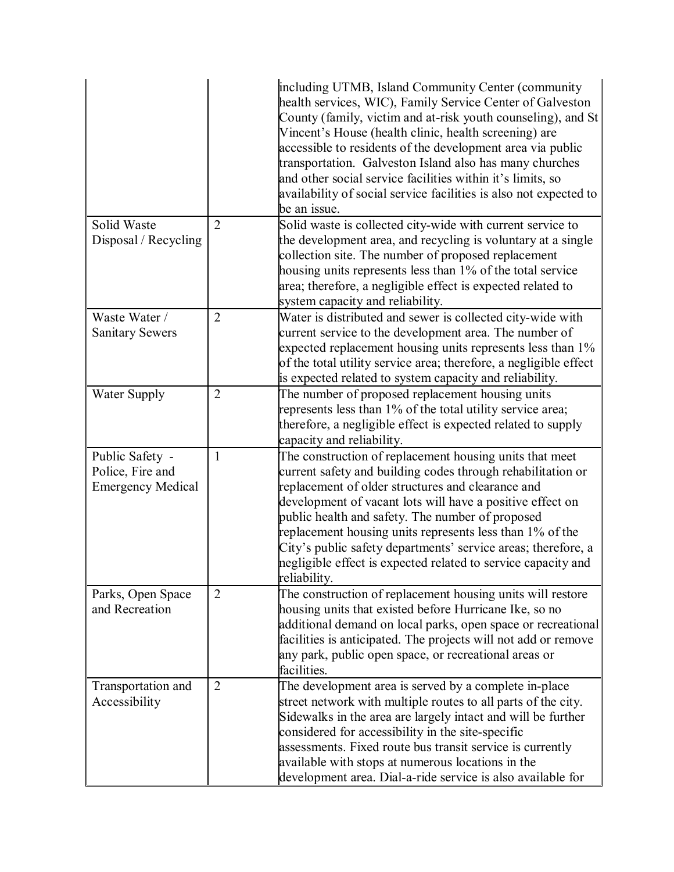|                                                                 |                | including UTMB, Island Community Center (community<br>health services, WIC), Family Service Center of Galveston<br>County (family, victim and at-risk youth counseling), and St<br>Vincent's House (health clinic, health screening) are<br>accessible to residents of the development area via public<br>transportation. Galveston Island also has many churches<br>and other social service facilities within it's limits, so<br>availability of social service facilities is also not expected to<br>be an issue. |
|-----------------------------------------------------------------|----------------|----------------------------------------------------------------------------------------------------------------------------------------------------------------------------------------------------------------------------------------------------------------------------------------------------------------------------------------------------------------------------------------------------------------------------------------------------------------------------------------------------------------------|
| Solid Waste<br>Disposal / Recycling                             | $\overline{2}$ | Solid waste is collected city-wide with current service to<br>the development area, and recycling is voluntary at a single<br>collection site. The number of proposed replacement<br>housing units represents less than 1% of the total service<br>area; therefore, a negligible effect is expected related to<br>system capacity and reliability.                                                                                                                                                                   |
| Waste Water /<br><b>Sanitary Sewers</b>                         | $\overline{2}$ | Water is distributed and sewer is collected city-wide with<br>current service to the development area. The number of<br>expected replacement housing units represents less than 1%<br>of the total utility service area; therefore, a negligible effect<br>is expected related to system capacity and reliability.                                                                                                                                                                                                   |
| Water Supply                                                    | $\overline{2}$ | The number of proposed replacement housing units<br>represents less than 1% of the total utility service area;<br>therefore, a negligible effect is expected related to supply<br>capacity and reliability.                                                                                                                                                                                                                                                                                                          |
| Public Safety -<br>Police, Fire and<br><b>Emergency Medical</b> | $\mathbf{1}$   | The construction of replacement housing units that meet<br>current safety and building codes through rehabilitation or<br>replacement of older structures and clearance and<br>development of vacant lots will have a positive effect on<br>public health and safety. The number of proposed<br>replacement housing units represents less than 1% of the<br>City's public safety departments' service areas; therefore, a<br>negligible effect is expected related to service capacity and<br>reliability.           |
| Parks, Open Space<br>and Recreation                             | $\overline{2}$ | The construction of replacement housing units will restore<br>housing units that existed before Hurricane Ike, so no<br>additional demand on local parks, open space or recreational<br>facilities is anticipated. The projects will not add or remove<br>any park, public open space, or recreational areas or<br>facilities.                                                                                                                                                                                       |
| Transportation and<br>Accessibility                             | $\overline{2}$ | The development area is served by a complete in-place<br>street network with multiple routes to all parts of the city.<br>Sidewalks in the area are largely intact and will be further<br>considered for accessibility in the site-specific<br>assessments. Fixed route bus transit service is currently<br>available with stops at numerous locations in the<br>development area. Dial-a-ride service is also available for                                                                                         |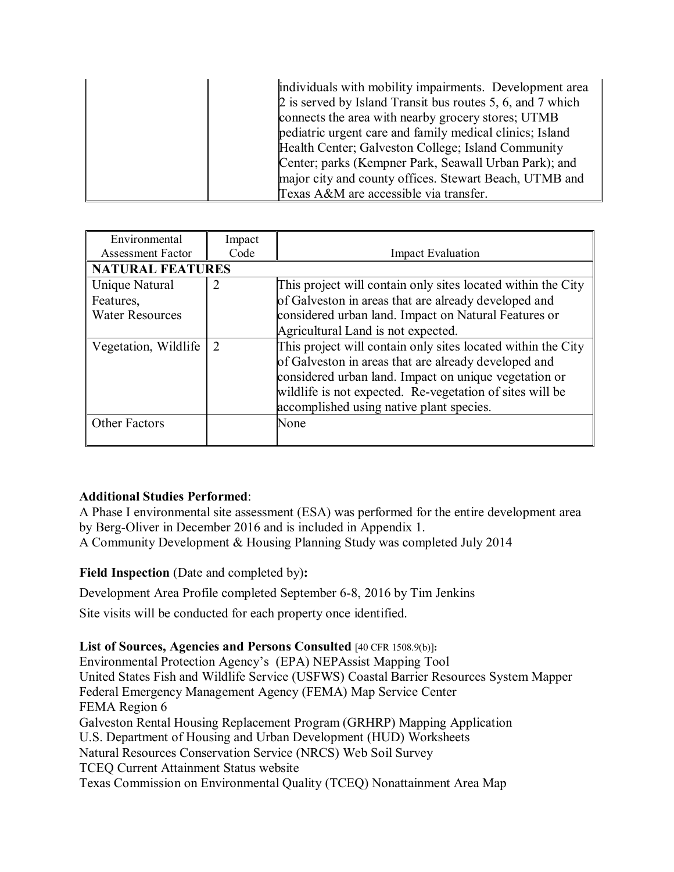| individuals with mobility impairments. Development area    |
|------------------------------------------------------------|
| 2 is served by Island Transit bus routes 5, 6, and 7 which |
| connects the area with nearby grocery stores; UTMB         |
| pediatric urgent care and family medical clinics; Island   |
| Health Center; Galveston College; Island Community         |
| Center; parks (Kempner Park, Seawall Urban Park); and      |
| major city and county offices. Stewart Beach, UTMB and     |
| Texas A&M are accessible via transfer.                     |

| Environmental            | Impact                      |                                                              |  |  |
|--------------------------|-----------------------------|--------------------------------------------------------------|--|--|
| <b>Assessment Factor</b> | Code                        | <b>Impact Evaluation</b>                                     |  |  |
| <b>NATURAL FEATURES</b>  |                             |                                                              |  |  |
| Unique Natural           | $\overline{2}$              | This project will contain only sites located within the City |  |  |
| Features,                |                             | of Galveston in areas that are already developed and         |  |  |
| <b>Water Resources</b>   |                             | considered urban land. Impact on Natural Features or         |  |  |
|                          |                             | Agricultural Land is not expected.                           |  |  |
| Vegetation, Wildlife     | $\mathcal{D}_{\mathcal{L}}$ | This project will contain only sites located within the City |  |  |
|                          |                             | of Galveston in areas that are already developed and         |  |  |
|                          |                             | considered urban land. Impact on unique vegetation or        |  |  |
|                          |                             | wildlife is not expected. Re-vegetation of sites will be     |  |  |
|                          |                             | accomplished using native plant species.                     |  |  |
| <b>Other Factors</b>     |                             | None                                                         |  |  |
|                          |                             |                                                              |  |  |

#### **Additional Studies Performed**:

A Phase I environmental site assessment (ESA) was performed for the entire development area by Berg-Oliver in December 2016 and is included in Appendix 1. A Community Development & Housing Planning Study was completed July 2014

**Field Inspection** (Date and completed by)**:**

Development Area Profile completed September 6-8, 2016 by Tim Jenkins

Site visits will be conducted for each property once identified.

**List of Sources, Agencies and Persons Consulted** [40 CFR 1508.9(b)]**:**

Environmental Protection Agency's (EPA) NEPAssist Mapping Tool United States Fish and Wildlife Service (USFWS) Coastal Barrier Resources System Mapper Federal Emergency Management Agency (FEMA) Map Service Center FEMA Region 6 Galveston Rental Housing Replacement Program (GRHRP) Mapping Application U.S. Department of Housing and Urban Development (HUD) Worksheets Natural Resources Conservation Service (NRCS) Web Soil Survey TCEQ Current Attainment Status website Texas Commission on Environmental Quality (TCEQ) Nonattainment Area Map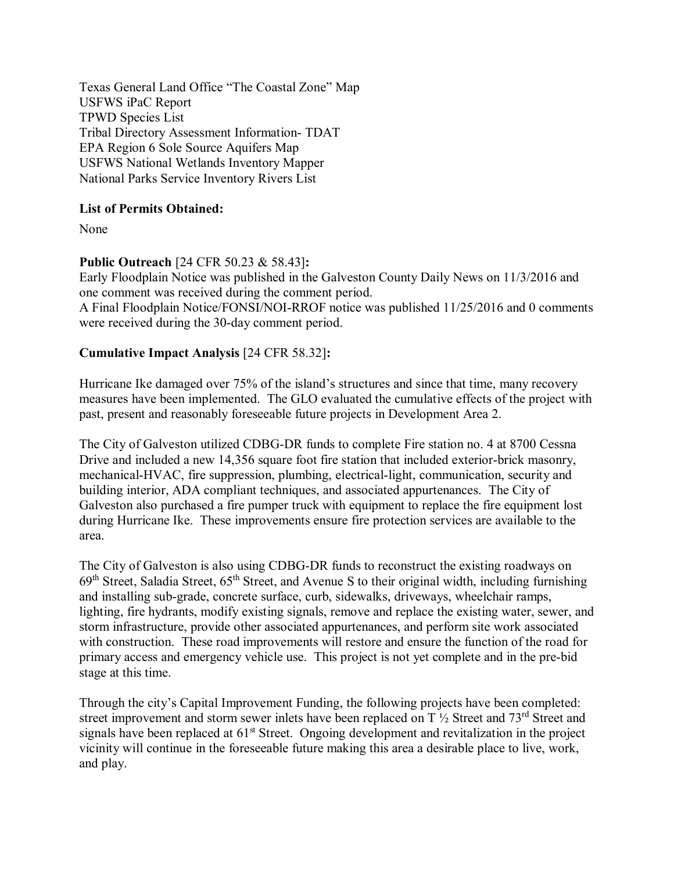Texas General Land Office "The Coastal Zone" Map USFWS iPaC Report TPWD Species List Tribal Directory Assessment Information- TDAT EPA Region 6 Sole Source Aquifers Map USFWS National Wetlands Inventory Mapper National Parks Service Inventory Rivers List

### **List of Permits Obtained:**

None

#### **Public Outreach** [24 CFR 50.23 & 58.43]**:**

Early Floodplain Notice was published in the Galveston County Daily News on 11/3/2016 and one comment was received during the comment period.

A Final Floodplain Notice/FONSI/NOI-RROF notice was published 11/25/2016 and 0 comments were received during the 30-day comment period.

### **Cumulative Impact Analysis** [24 CFR 58.32]**:**

Hurricane Ike damaged over 75% of the island's structures and since that time, many recovery measures have been implemented. The GLO evaluated the cumulative effects of the project with past, present and reasonably foreseeable future projects in Development Area 2.

The City of Galveston utilized CDBG-DR funds to complete Fire station no. 4 at 8700 Cessna Drive and included a new 14,356 square foot fire station that included exterior-brick masonry, mechanical-HVAC, fire suppression, plumbing, electrical-light, communication, security and building interior, ADA compliant techniques, and associated appurtenances. The City of Galveston also purchased a fire pumper truck with equipment to replace the fire equipment lost during Hurricane Ike. These improvements ensure fire protection services are available to the area.

The City of Galveston is also using CDBG-DR funds to reconstruct the existing roadways on 69<sup>th</sup> Street, Saladia Street, 65<sup>th</sup> Street, and Avenue S to their original width, including furnishing and installing sub-grade, concrete surface, curb, sidewalks, driveways, wheelchair ramps, lighting, fire hydrants, modify existing signals, remove and replace the existing water, sewer, and storm infrastructure, provide other associated appurtenances, and perform site work associated with construction. These road improvements will restore and ensure the function of the road for primary access and emergency vehicle use. This project is not yet complete and in the pre-bid stage at this time.

Through the city's Capital Improvement Funding, the following projects have been completed: street improvement and storm sewer inlets have been replaced on T  $\frac{1}{2}$  Street and 73<sup>rd</sup> Street and signals have been replaced at 61<sup>st</sup> Street. Ongoing development and revitalization in the project vicinity will continue in the foreseeable future making this area a desirable place to live, work, and play.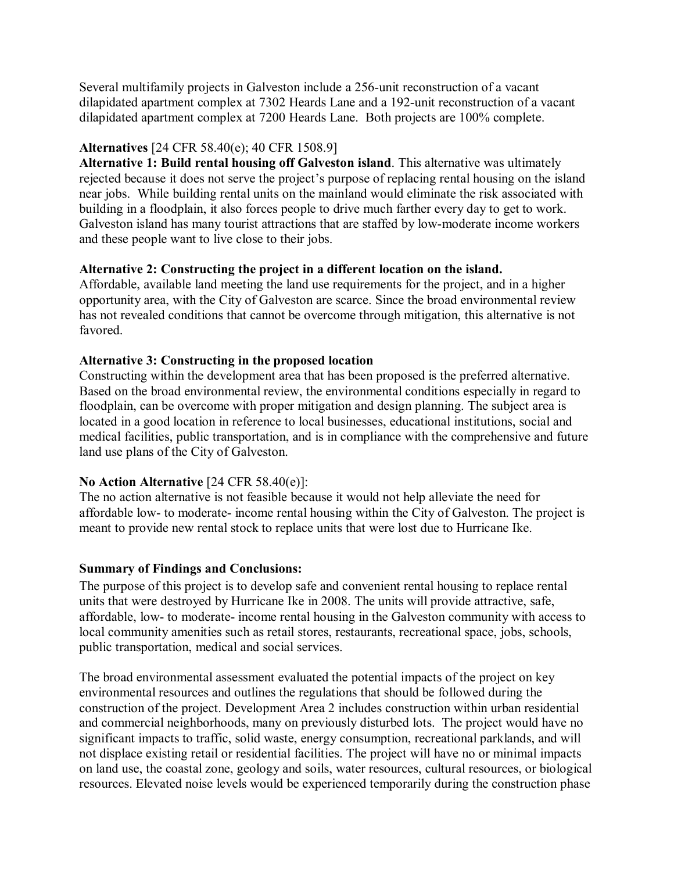Several multifamily projects in Galveston include a 256-unit reconstruction of a vacant dilapidated apartment complex at 7302 Heards Lane and a 192-unit reconstruction of a vacant dilapidated apartment complex at 7200 Heards Lane. Both projects are 100% complete.

#### **Alternatives** [24 CFR 58.40(e); 40 CFR 1508.9]

**Alternative 1: Build rental housing off Galveston island**. This alternative was ultimately rejected because it does not serve the project's purpose of replacing rental housing on the island near jobs. While building rental units on the mainland would eliminate the risk associated with building in a floodplain, it also forces people to drive much farther every day to get to work. Galveston island has many tourist attractions that are staffed by low-moderate income workers and these people want to live close to their jobs.

#### **Alternative 2: Constructing the project in a different location on the island.**

Affordable, available land meeting the land use requirements for the project, and in a higher opportunity area, with the City of Galveston are scarce. Since the broad environmental review has not revealed conditions that cannot be overcome through mitigation, this alternative is not favored.

#### **Alternative 3: Constructing in the proposed location**

Constructing within the development area that has been proposed is the preferred alternative. Based on the broad environmental review, the environmental conditions especially in regard to floodplain, can be overcome with proper mitigation and design planning. The subject area is located in a good location in reference to local businesses, educational institutions, social and medical facilities, public transportation, and is in compliance with the comprehensive and future land use plans of the City of Galveston.

#### **No Action Alternative** [24 CFR 58.40(e)]:

The no action alternative is not feasible because it would not help alleviate the need for affordable low- to moderate- income rental housing within the City of Galveston. The project is meant to provide new rental stock to replace units that were lost due to Hurricane Ike.

#### **Summary of Findings and Conclusions:**

The purpose of this project is to develop safe and convenient rental housing to replace rental units that were destroyed by Hurricane Ike in 2008. The units will provide attractive, safe, affordable, low- to moderate- income rental housing in the Galveston community with access to local community amenities such as retail stores, restaurants, recreational space, jobs, schools, public transportation, medical and social services.

The broad environmental assessment evaluated the potential impacts of the project on key environmental resources and outlines the regulations that should be followed during the construction of the project. Development Area 2 includes construction within urban residential and commercial neighborhoods, many on previously disturbed lots. The project would have no significant impacts to traffic, solid waste, energy consumption, recreational parklands, and will not displace existing retail or residential facilities. The project will have no or minimal impacts on land use, the coastal zone, geology and soils, water resources, cultural resources, or biological resources. Elevated noise levels would be experienced temporarily during the construction phase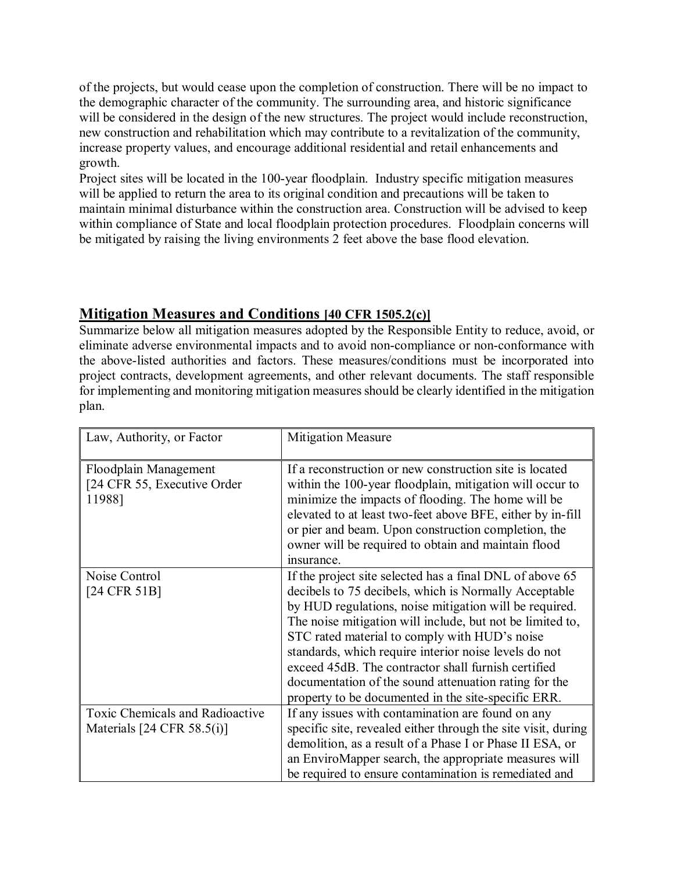of the projects, but would cease upon the completion of construction. There will be no impact to the demographic character of the community. The surrounding area, and historic significance will be considered in the design of the new structures. The project would include reconstruction, new construction and rehabilitation which may contribute to a revitalization of the community, increase property values, and encourage additional residential and retail enhancements and growth.

Project sites will be located in the 100-year floodplain. Industry specific mitigation measures will be applied to return the area to its original condition and precautions will be taken to maintain minimal disturbance within the construction area. Construction will be advised to keep within compliance of State and local floodplain protection procedures. Floodplain concerns will be mitigated by raising the living environments 2 feet above the base flood elevation.

## **Mitigation Measures and Conditions [40 CFR 1505.2(c)]**

Summarize below all mitigation measures adopted by the Responsible Entity to reduce, avoid, or eliminate adverse environmental impacts and to avoid non-compliance or non-conformance with the above-listed authorities and factors. These measures/conditions must be incorporated into project contracts, development agreements, and other relevant documents. The staff responsible for implementing and monitoring mitigation measures should be clearly identified in the mitigation plan.

| Law, Authority, or Factor                                                | <b>Mitigation Measure</b>                                                                                                                                                                                                                                                                                                                                                                                                                                                                                                 |
|--------------------------------------------------------------------------|---------------------------------------------------------------------------------------------------------------------------------------------------------------------------------------------------------------------------------------------------------------------------------------------------------------------------------------------------------------------------------------------------------------------------------------------------------------------------------------------------------------------------|
| Floodplain Management<br>[24 CFR 55, Executive Order<br>11988]           | If a reconstruction or new construction site is located<br>within the 100-year floodplain, mitigation will occur to<br>minimize the impacts of flooding. The home will be<br>elevated to at least two-feet above BFE, either by in-fill<br>or pier and beam. Upon construction completion, the<br>owner will be required to obtain and maintain flood<br>insurance.                                                                                                                                                       |
| Noise Control<br>$[24 \text{ CFR } 51 \text{B}]$                         | If the project site selected has a final DNL of above 65<br>decibels to 75 decibels, which is Normally Acceptable<br>by HUD regulations, noise mitigation will be required.<br>The noise mitigation will include, but not be limited to,<br>STC rated material to comply with HUD's noise<br>standards, which require interior noise levels do not<br>exceed 45dB. The contractor shall furnish certified<br>documentation of the sound attenuation rating for the<br>property to be documented in the site-specific ERR. |
| Toxic Chemicals and Radioactive<br>Materials $[24 \text{ CFR } 58.5(i)]$ | If any issues with contamination are found on any<br>specific site, revealed either through the site visit, during<br>demolition, as a result of a Phase I or Phase II ESA, or<br>an EnviroMapper search, the appropriate measures will<br>be required to ensure contamination is remediated and                                                                                                                                                                                                                          |